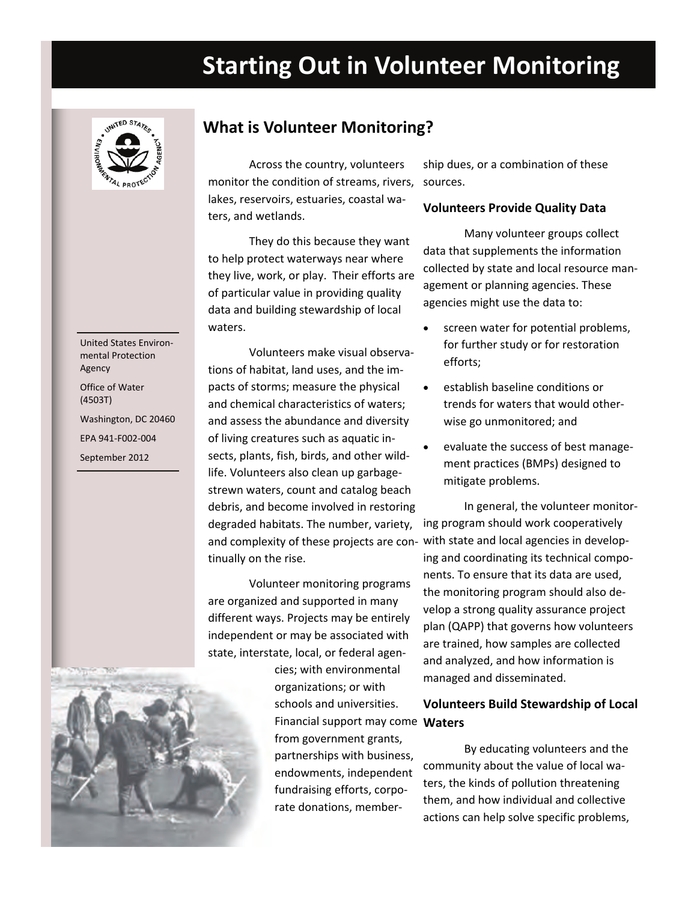# **Starting Out in Volunteer Monitoring**



United States Environ‐ mental Protection Agency Office of Water (4503T)

Washington, DC 20460 EPA 941‐F002‐004 

September 2012 

 **What is Volunteer Monitoring?**

 Across the country, volunteers monitor the condition of streams, rivers, lakes, reservoirs, estuaries, coastal wa‐ ters, and wetlands.

 They do this because they want to help protect waterways near where they live, work, or play. Their efforts are of particular value in providing quality data and building stewardship of local waters.

 Volunteers make visual observa‐ tions of habitat, land uses, and the im‐ pacts of storms; measure the physical and chemical characteristics of waters; and assess the abundance and diversity of living creatures such as aquatic in‐ sects, plants, fish, birds, and other wild‐ life. Volunteers also clean up garbage‐ strewn waters, count and catalog beach debris, and become involved in restoring degraded habitats. The number, variety, and complexity of these projects are con‐ with state and local agencies in develop‐ tinually on the rise.

 Volunteer monitoring programs are organized and supported in many different ways. Projects may be entirely independent or may be associated with state, interstate, local, or federal agen‐



 cies; with environmental organizations; or with schools and universities. Financial support may come **Waters** from government grants, partnerships with business, fundraising efforts, corpo‐ rate donations, member‐ endowments, independent

 ship dues, or a combination of these sources.

## **Volunteers Provide Quality Data**

 Many volunteer groups collect data that supplements the information collected by state and local resource man‐ agement or planning agencies. These agencies might use the data to:

- screen water for potential problems, for further study or for restoration efforts;
- establish baseline conditions or trends for waters that would other‐ wise go unmonitored; and
- evaluate the success of best manage- ment practices (BMPs) designed to mitigate problems.

 In general, the volunteer monitor‐ ing program should work cooperatively ing and coordinating its technical compo‐ nents. To ensure that its data are used, the monitoring program should also de‐ velop a strong quality assurance project plan (QAPP) that governs how volunteers are trained, how samples are collected and analyzed, and how information is managed and disseminated.

# **Volunteers Build Stewardship of Local**

 By educating volunteers and the community about the value of local wa‐ ters, the kinds of pollution threatening them, and how individual and collective actions can help solve specific problems,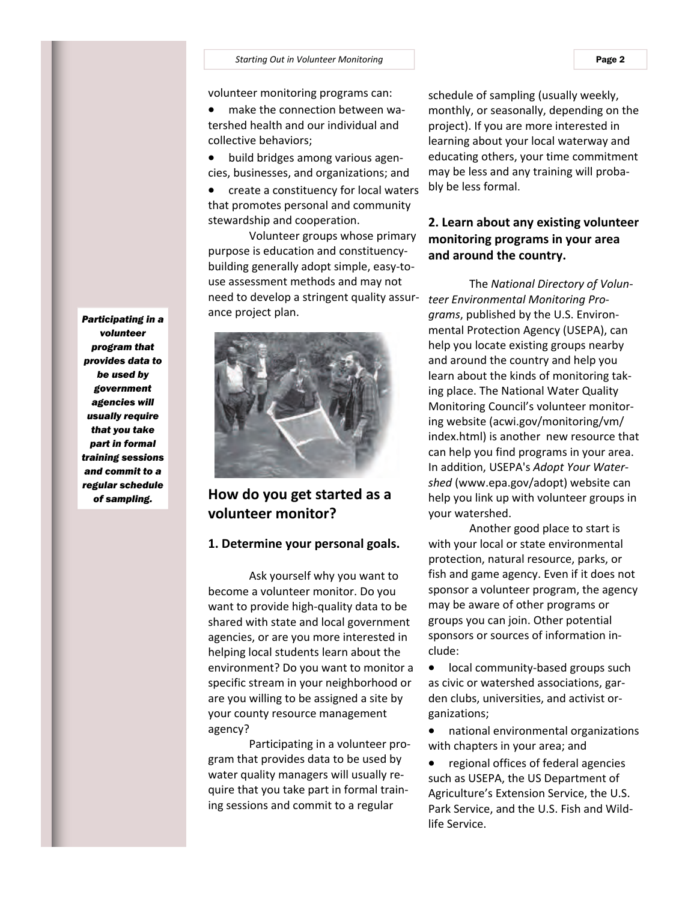#### **Starting** Out in Volunteer Monitoring Page 2

volunteer monitoring programs can:

● make the connection between wa- tershed health and our individual and collective behaviors;

● build bridges among various agen-cies, businesses, and organizations; and

 create a constituency for local waters that promotes personal and community stewardship and cooperation.

 Volunteer groups whose primary purpose is education and constituency‐ building generally adopt simple, easy‐to‐ use assessment methods and may not need to develop a stringent quality assur‐ ance project plan.



 **How do you get started as a volunteer monitor?**

### **1. Determine your personal goals.**

 Ask yourself why you want to become a volunteer monitor. Do you want to provide high‐quality data to be shared with state and local government agencies, or are you more interested in helping local students learn about the environment? Do you want to monitor a specific stream in your neighborhood or are you willing to be assigned a site by your county resource management agency?

 Participating in a volunteer pro‐ gram that provides data to be used by water quality managers will usually re‐ quire that you take part in formal train‐ ing sessions and commit to a regular

 schedule of sampling (usually weekly, monthly, or seasonally, depending on the project). If you are more interested in learning about your local waterway and educating others, your time commitment may be less and any training will proba‐ bly be less formal.

# **2. Learn about any existing volunteer monitoring programs in your area and around the country.**

  The *National Directory of Volun‐ teer [Environmental](http://yosemite.epa.gov/water/volmon.nsf/Home?readform) Monitoring Pro‐ [grams](http://yosemite.epa.gov/water/volmon.nsf/Home?readform)*, published by the U.S. Environ‐ mental Protection Agency (USEPA), can help you locate existing groups nearby and around the country and help you learn about the kinds of monitoring tak‐ ing place. The National Water Quality Monitoring Council's volunteer monitor‐ ing website (acwi.gov/monitoring/vm/ index.html) is another new resource that can help you find programs in your area.  In addition, USEPA's *Adopt Your [Water](http://www.epa.gov/adopt/)‐ [shed](http://www.epa.gov/adopt/)* (www.epa.gov/adopt) website can help you link up with volunteer groups in your watershed.

 Another good place to start is with your local or state environmental protection, natural resource, parks, or fish and game agency. Even if it does not sponsor a volunteer program, the agency may be aware of other programs or groups you can join. Other potential sponsors or sources of information in‐ clude:

● local community-based groups such as civic or watershed associations, gar‐ den clubs, universities, and activist or‐ ganizations;

 with chapters in your area; and national environmental organizations

 regional offices of federal agencies such as USEPA, the US Department of Agriculture's Extension Service, the U.S. Park Service, and the U.S. Fish and Wild‐ life Service.

*Participating in a volunteer program that provides data to be used by government agencies will usually require that you take part in formal training sessions and commit to a regular schedule of sampling.*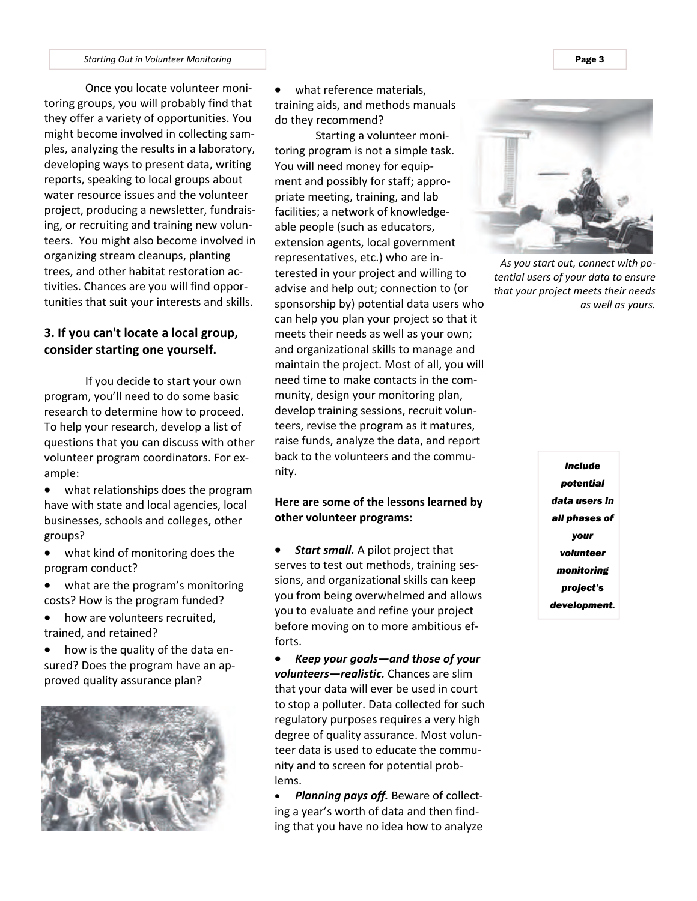**Starting Out in Volunteer Monitoring** Page 3 **Page 3 Page 3** 

 Once you locate volunteer moni‐ toring groups, you will probably find that they offer a variety of opportunities. You might become involved in collecting sam‐ ples, analyzing the results in a laboratory, developing ways to present data, writing reports, speaking to local groups about water resource issues and the volunteer project, producing a newsletter, fundrais‐ ing, or recruiting and training new volun‐ teers. You might also become involved in organizing stream cleanups, planting trees, and other habitat restoration ac‐ tivities. Chances are you will find oppor‐ tunities that suit your interests and skills.

# **3. If you can't locate a local group, consider starting one yourself.**

 If you decide to start your own program, you'll need to do some basic research to determine how to proceed. To help your research, develop a list of questions that you can discuss with other volunteer program coordinators. For ex‐ ample:

 what relationships does the program have with state and local agencies, local businesses, schools and colleges, other groups?

- what kind of monitoring does the program conduct?
- what are the program's monitoring costs? How is the program funded?
- how are volunteers recruited, trained, and retained?

● how is the quality of the data en- sured? Does the program have an ap‐ proved quality assurance plan?



 what reference materials, training aids, and methods manuals do they recommend?

 Starting a volunteer moni‐ toring program is not a simple task. You will need money for equip‐ ment and possibly for staff; appro‐ priate meeting, training, and lab facilities; a network of knowledge‐ able people (such as educators, extension agents, local government representatives, etc.) who are in‐ terested in your project and willing to advise and help out; connection to (or sponsorship by) potential data users who can help you plan your project so that it meets their needs as well as your own; and organizational skills to manage and maintain the project. Most of all, you will need time to make contacts in the com‐ munity, design your monitoring plan, develop training sessions, recruit volun‐ teers, revise the program as it matures, raise funds, analyze the data, and report back to the volunteers and the commu‐ nity.

# **Here are some of the lessons learned by other volunteer programs:**

 *Start small.* A pilot project that serves to test out methods, training ses‐ sions, and organizational skills can keep you from being overwhelmed and allows you to evaluate and refine your project before moving on to more ambitious ef‐ forts.

 *Keep your goals—and those of your volunteers—realistic.* Chances are slim that your data will ever be used in court to stop a polluter. Data collected for such regulatory purposes requires a very high degree of quality assurance. Most volun‐ teer data is used to educate the commu‐ nity and to screen for potential prob‐ lems.

 *Planning pays off.* Beware of collect‐ ing a year's worth of data and then find‐ ing that you have no idea how to analyze



*As you start out, connect with po‐ tential users of your data to ensure that your project meets their needs as well as yours.*

*Include potential data users in all phases of your volunteer monitoring project's development.*